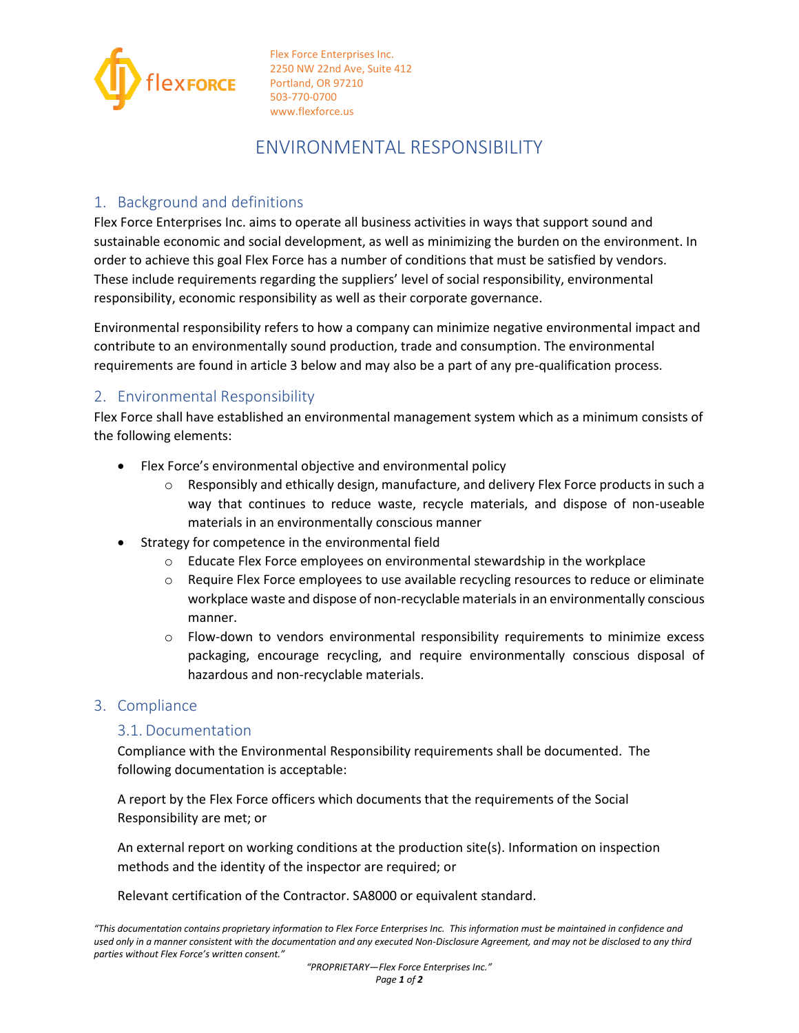

Flex Force Enterprises Inc. 2250 NW 22nd Ave, Suite 412 Portland, OR 97210 503-770-0700 www.flexforce.us

# ENVIRONMENTAL RESPONSIBILITY

# 1. Background and definitions

Flex Force Enterprises Inc. aims to operate all business activities in ways that support sound and sustainable economic and social development, as well as minimizing the burden on the environment. In order to achieve this goal Flex Force has a number of conditions that must be satisfied by vendors. These include requirements regarding the suppliers' level of social responsibility, environmental responsibility, economic responsibility as well as their corporate governance.

Environmental responsibility refers to how a company can minimize negative environmental impact and contribute to an environmentally sound production, trade and consumption. The environmental requirements are found in article 3 below and may also be a part of any pre-qualification process.

## 2. Environmental Responsibility

Flex Force shall have established an environmental management system which as a minimum consists of the following elements:

- Flex Force's environmental objective and environmental policy
	- Responsibly and ethically design, manufacture, and delivery Flex Force products in such a way that continues to reduce waste, recycle materials, and dispose of non-useable materials in an environmentally conscious manner
- Strategy for competence in the environmental field
	- $\circ$  Educate Flex Force employees on environmental stewardship in the workplace
	- o Require Flex Force employees to use available recycling resources to reduce or eliminate workplace waste and dispose of non-recyclable materials in an environmentally conscious manner.
	- o Flow-down to vendors environmental responsibility requirements to minimize excess packaging, encourage recycling, and require environmentally conscious disposal of hazardous and non-recyclable materials.

## 3. Compliance

## 3.1. Documentation

Compliance with the Environmental Responsibility requirements shall be documented. The following documentation is acceptable:

A report by the Flex Force officers which documents that the requirements of the Social Responsibility are met; or

An external report on working conditions at the production site(s). Information on inspection methods and the identity of the inspector are required; or

Relevant certification of the Contractor. SA8000 or equivalent standard.

*"This documentation contains proprietary information to Flex Force Enterprises Inc. This information must be maintained in confidence and used only in a manner consistent with the documentation and any executed Non-Disclosure Agreement, and may not be disclosed to any third parties without Flex Force's written consent."*